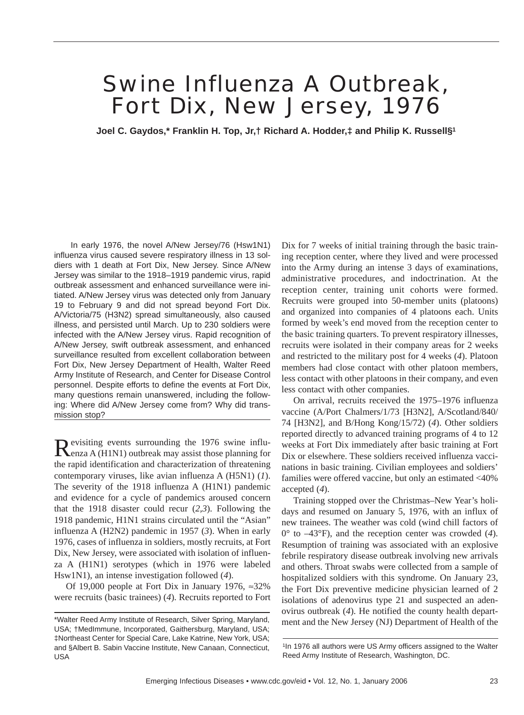# Swine Influenza A Outbreak, Fort Dix, New Jersey, 1976

**Joel C. Gaydos,\* Franklin H. Top, Jr,† Richard A. Hodder,‡ and Philip K. Russell§1**

In early 1976, the novel A/New Jersey/76 (Hsw1N1) influenza virus caused severe respiratory illness in 13 soldiers with 1 death at Fort Dix, New Jersey. Since A/New Jersey was similar to the 1918–1919 pandemic virus, rapid outbreak assessment and enhanced surveillance were initiated. A/New Jersey virus was detected only from January 19 to February 9 and did not spread beyond Fort Dix. A/Victoria/75 (H3N2) spread simultaneously, also caused illness, and persisted until March. Up to 230 soldiers were infected with the A/New Jersey virus. Rapid recognition of A/New Jersey, swift outbreak assessment, and enhanced surveillance resulted from excellent collaboration between Fort Dix, New Jersey Department of Health, Walter Reed Army Institute of Research, and Center for Disease Control personnel. Despite efforts to define the events at Fort Dix, many questions remain unanswered, including the following: Where did A/New Jersey come from? Why did transmission stop?

Revisiting events surrounding the 1976 swine influ-<br>Renza A (H1N1) outbreak may assist those planning for the rapid identification and characterization of threatening contemporary viruses, like avian influenza A (H5N1) (*1*). The severity of the 1918 influenza A (H1N1) pandemic and evidence for a cycle of pandemics aroused concern that the 1918 disaster could recur (*2,3*). Following the 1918 pandemic, H1N1 strains circulated until the "Asian" influenza A (H2N2) pandemic in 1957 (*3*). When in early 1976, cases of influenza in soldiers, mostly recruits, at Fort Dix, New Jersey, were associated with isolation of influenza A (H1N1) serotypes (which in 1976 were labeled Hsw1N1), an intense investigation followed (*4*).

Of 19,000 people at Fort Dix in January 1976, ≈32% were recruits (basic trainees) (*4*). Recruits reported to Fort Dix for 7 weeks of initial training through the basic training reception center, where they lived and were processed into the Army during an intense 3 days of examinations, administrative procedures, and indoctrination. At the reception center, training unit cohorts were formed. Recruits were grouped into 50-member units (platoons) and organized into companies of 4 platoons each. Units formed by week's end moved from the reception center to the basic training quarters. To prevent respiratory illnesses, recruits were isolated in their company areas for 2 weeks and restricted to the military post for 4 weeks (*4*). Platoon members had close contact with other platoon members, less contact with other platoons in their company, and even less contact with other companies.

On arrival, recruits received the 1975–1976 influenza vaccine (A/Port Chalmers/1/73 [H3N2], A/Scotland/840/ 74 [H3N2], and B/Hong Kong/15/72) (*4*). Other soldiers reported directly to advanced training programs of 4 to 12 weeks at Fort Dix immediately after basic training at Fort Dix or elsewhere. These soldiers received influenza vaccinations in basic training. Civilian employees and soldiers' families were offered vaccine, but only an estimated <40% accepted (*4*).

Training stopped over the Christmas–New Year's holidays and resumed on January 5, 1976, with an influx of new trainees. The weather was cold (wind chill factors of 0° to –43°F), and the reception center was crowded (*4*). Resumption of training was associated with an explosive febrile respiratory disease outbreak involving new arrivals and others. Throat swabs were collected from a sample of hospitalized soldiers with this syndrome. On January 23, the Fort Dix preventive medicine physician learned of 2 isolations of adenovirus type 21 and suspected an adenovirus outbreak (*4*). He notified the county health department and the New Jersey (NJ) Department of Health of the

<sup>\*</sup>Walter Reed Army Institute of Research, Silver Spring, Maryland, USA; †MedImmune, Incorporated, Gaithersburg, Maryland, USA; ‡Northeast Center for Special Care, Lake Katrine, New York, USA; and §Albert B. Sabin Vaccine Institute, New Canaan, Connecticut, USA

<sup>1</sup>In 1976 all authors were US Army officers assigned to the Walter Reed Army Institute of Research, Washington, DC.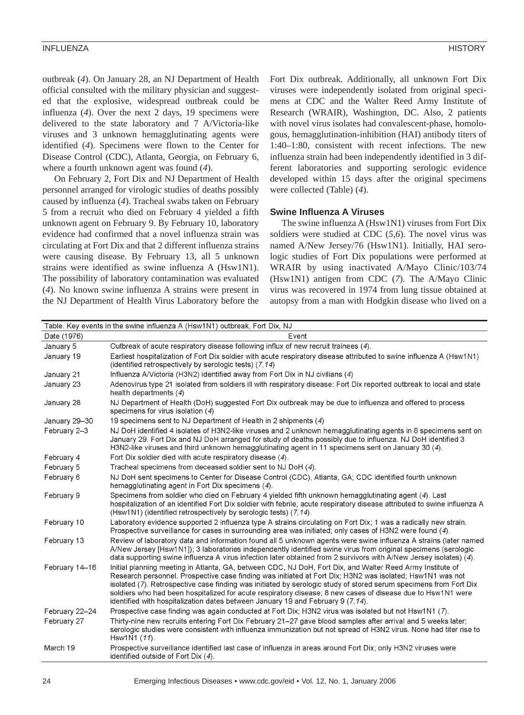#### INFLUENZA HISTORY

outbreak (*4*). On January 28, an NJ Department of Health official consulted with the military physician and suggested that the explosive, widespread outbreak could be influenza (*4*). Over the next 2 days, 19 specimens were delivered to the state laboratory and 7 A/Victoria-like viruses and 3 unknown hemagglutinating agents were identified (*4*). Specimens were flown to the Center for Disease Control (CDC), Atlanta, Georgia, on February 6, where a fourth unknown agent was found (*4*).

On February 2, Fort Dix and NJ Department of Health personnel arranged for virologic studies of deaths possibly caused by influenza (*4*). Tracheal swabs taken on February 5 from a recruit who died on February 4 yielded a fifth unknown agent on February 9. By February 10, laboratory evidence had confirmed that a novel influenza strain was circulating at Fort Dix and that 2 different influenza strains were causing disease. By February 13, all 5 unknown strains were identified as swine influenza A (Hsw1N1). The possibility of laboratory contamination was evaluated (*4*). No known swine influenza A strains were present in the NJ Department of Health Virus Laboratory before the Fort Dix outbreak. Additionally, all unknown Fort Dix viruses were independently isolated from original specimens at CDC and the Walter Reed Army Institute of Research (WRAIR), Washington, DC. Also, 2 patients with novel virus isolates had convalescent-phase, homologous, hemagglutination-inhibition (HAI) antibody titers of 1:40–1:80, consistent with recent infections. The new influenza strain had been independently identified in 3 different laboratories and supporting serologic evidence developed within 15 days after the original specimens were collected (Table) (*4*).

## **Swine Influenza A Viruses**

The swine influenza A (Hsw1N1) viruses from Fort Dix soldiers were studied at CDC (*5,6*). The novel virus was named A/New Jersey/76 (Hsw1N1). Initially, HAI serologic studies of Fort Dix populations were performed at WRAIR by using inactivated A/Mayo Clinic/103/74 (Hsw1N1) antigen from CDC (*7*). The A/Mayo Clinic virus was recovered in 1974 from lung tissue obtained at autopsy from a man with Hodgkin disease who lived on a

| Table. Key events in the swine influenza A (Hsw1N1) outbreak, Fort Dix, NJ |                                                                                                                                                                                                                                                                                                                                                                                                                                                                                                                                                   |
|----------------------------------------------------------------------------|---------------------------------------------------------------------------------------------------------------------------------------------------------------------------------------------------------------------------------------------------------------------------------------------------------------------------------------------------------------------------------------------------------------------------------------------------------------------------------------------------------------------------------------------------|
| Date (1976)                                                                | Event                                                                                                                                                                                                                                                                                                                                                                                                                                                                                                                                             |
| January 5                                                                  | Outbreak of acute respiratory disease following influx of new recruit trainees (4).                                                                                                                                                                                                                                                                                                                                                                                                                                                               |
| January 19                                                                 | Earliest hospitalization of Fort Dix soldier with acute respiratory disease attributed to swine influenza A (Hsw1N1)<br>(identified retrospectively by serologic tests) (7.14)                                                                                                                                                                                                                                                                                                                                                                    |
| January 21                                                                 | Influenza A/Victoria (H3N2) identified away from Fort Dix in NJ civilians $(4)$                                                                                                                                                                                                                                                                                                                                                                                                                                                                   |
| January 23                                                                 | Adenovirus type 21 isolated from soldiers ill with respiratory disease: Fort Dix reported outbreak to local and state<br>health departments (4)                                                                                                                                                                                                                                                                                                                                                                                                   |
| January 28                                                                 | NJ Department of Health (DoH) suggested Fort Dix outbreak may be due to influenza and offered to process<br>specimens for virus isolation $(4)$                                                                                                                                                                                                                                                                                                                                                                                                   |
| January 29-30                                                              | 19 specimens sent to NJ Department of Health in 2 shipments (4)                                                                                                                                                                                                                                                                                                                                                                                                                                                                                   |
| February 2-3                                                               | NJ DoH identified 4 isolates of H3N2-like viruses and 2 unknown hemagglutinating agents in 8 specimens sent on<br>January 29. Fort Dix and NJ DoH arranged for study of deaths possibly due to influenza. NJ DoH identified 3<br>H3N2-like viruses and third unknown hemagglutinating agent in 11 specimens sent on January 30 $(4)$ .                                                                                                                                                                                                            |
| February 4                                                                 | Fort Dix soldier died with acute respiratory disease (4).                                                                                                                                                                                                                                                                                                                                                                                                                                                                                         |
| February 5                                                                 | Tracheal specimens from deceased soldier sent to NJ DoH (4).                                                                                                                                                                                                                                                                                                                                                                                                                                                                                      |
| February 6                                                                 | NJ DoH sent specimens to Center for Disease Control (CDC), Atlanta, GA; CDC identified fourth unknown<br>hemagglutinating agent in Fort Dix specimens (4).                                                                                                                                                                                                                                                                                                                                                                                        |
| February 9                                                                 | Specimens from soldier who died on February 4 yielded fifth unknown hemagglutinating agent (4). Last<br>hospitalization of an identified Fort Dix soldier with febrile, acute respiratory disease attributed to swine influenza A<br>(Hsw1N1) (identified retrospectively by serologic tests) (7,14).                                                                                                                                                                                                                                             |
| February 10                                                                | Laboratory evidence supported 2 influenza type A strains circulating on Fort Dix; 1 was a radically new strain.<br>Prospective surveillance for cases in surrounding area was initiated; only cases of H3N2 were found (4).                                                                                                                                                                                                                                                                                                                       |
| February 13                                                                | Review of laboratory data and information found all 5 unknown agents were swine influenza A strains (later named<br>A/New Jersey [Hsw1N1]); 3 laboratories independently identified swine virus from original specimens (serologic<br>data supporting swine influenza A virus infection later obtained from 2 survivors with A/New Jersey isolates) (4).                                                                                                                                                                                          |
| February 14-16                                                             | Initial planning meeting in Atlanta, GA, between CDC, NJ DoH, Fort Dix, and Walter Reed Army Institute of<br>Research personnel. Prospective case finding was initiated at Fort Dix; H3N2 was isolated; Hsw1N1 was not<br>isolated (7). Retrospective case finding was initiated by serologic study of stored serum specimens from Fort Dix<br>soldiers who had been hospitalized for acute respiratory disease; 8 new cases of disease due to Hsw1N1 were<br>identified with hospitalization dates between January 19 and February 9 $(7, 14)$ . |
| February 22-24                                                             | Prospective case finding was again conducted at Fort Dix; H3N2 virus was isolated but not Hsw1N1 (7).                                                                                                                                                                                                                                                                                                                                                                                                                                             |
| February 27                                                                | Thirty-nine new recruits entering Fort Dix February 21–27 gave blood samples after arrival and 5 weeks later;<br>serologic studies were consistent with influenza immunization but not spread of H3N2 virus. None had titer rise to<br>Hsw1N1 (11).                                                                                                                                                                                                                                                                                               |
| March 19                                                                   | Prospective surveillance identified last case of influenza in areas around Fort Dix; only H3N2 viruses were<br>identified outside of Fort Dix (4).                                                                                                                                                                                                                                                                                                                                                                                                |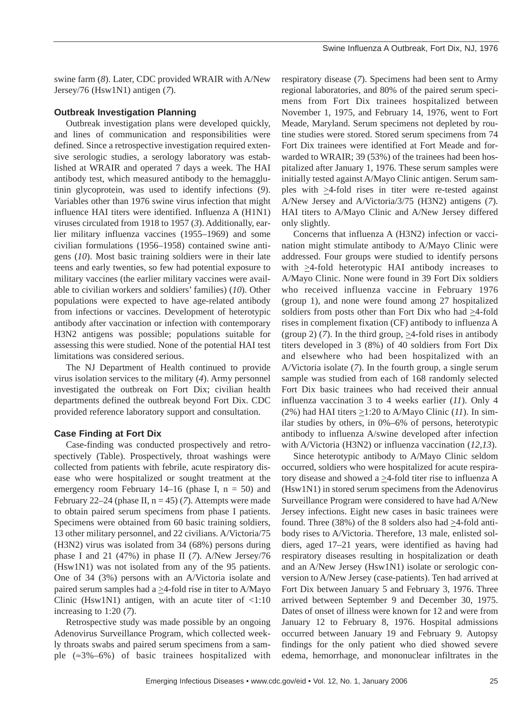swine farm (*8*). Later, CDC provided WRAIR with A/New Jersey/76 (Hsw1N1) antigen (*7*).

### **Outbreak Investigation Planning**

Outbreak investigation plans were developed quickly, and lines of communication and responsibilities were defined. Since a retrospective investigation required extensive serologic studies, a serology laboratory was established at WRAIR and operated 7 days a week. The HAI antibody test, which measured antibody to the hemagglutinin glycoprotein, was used to identify infections (*9*). Variables other than 1976 swine virus infection that might influence HAI titers were identified. Influenza A (H1N1) viruses circulated from 1918 to 1957 (*3*). Additionally, earlier military influenza vaccines (1955–1969) and some civilian formulations (1956–1958) contained swine antigens (*10*). Most basic training soldiers were in their late teens and early twenties, so few had potential exposure to military vaccines (the earlier military vaccines were available to civilian workers and soldiers' families) (*10*). Other populations were expected to have age-related antibody from infections or vaccines. Development of heterotypic antibody after vaccination or infection with contemporary H3N2 antigens was possible; populations suitable for assessing this were studied. None of the potential HAI test limitations was considered serious.

The NJ Department of Health continued to provide virus isolation services to the military (*4*). Army personnel investigated the outbreak on Fort Dix; civilian health departments defined the outbreak beyond Fort Dix. CDC provided reference laboratory support and consultation.

# **Case Finding at Fort Dix**

Case-finding was conducted prospectively and retrospectively (Table). Prospectively, throat washings were collected from patients with febrile, acute respiratory disease who were hospitalized or sought treatment at the emergency room February 14–16 (phase I,  $n = 50$ ) and February 22–24 (phase II,  $n = 45$ ) (7). Attempts were made to obtain paired serum specimens from phase I patients. Specimens were obtained from 60 basic training soldiers, 13 other military personnel, and 22 civilians. A/Victoria/75 (H3N2) virus was isolated from 34 (68%) persons during phase I and 21 (47%) in phase II (*7*). A/New Jersey/76 (Hsw1N1) was not isolated from any of the 95 patients. One of 34 (3%) persons with an A/Victoria isolate and paired serum samples had a  $\geq$ 4-fold rise in titer to A/Mayo Clinic (Hsw1N1) antigen, with an acute titer of  $\langle 1:10 \rangle$ increasing to 1:20 (*7*).

Retrospective study was made possible by an ongoing Adenovirus Surveillance Program, which collected weekly throats swabs and paired serum specimens from a sample (≈3%–6%) of basic trainees hospitalized with respiratory disease (*7*). Specimens had been sent to Army regional laboratories, and 80% of the paired serum specimens from Fort Dix trainees hospitalized between November 1, 1975, and February 14, 1976, went to Fort Meade, Maryland. Serum specimens not depleted by routine studies were stored. Stored serum specimens from 74 Fort Dix trainees were identified at Fort Meade and forwarded to WRAIR; 39 (53%) of the trainees had been hospitalized after January 1, 1976. These serum samples were initially tested against A/Mayo Clinic antigen. Serum samples with  $\geq$ 4-fold rises in titer were re-tested against A/New Jersey and A/Victoria/3/75 (H3N2) antigens (*7*). HAI titers to A/Mayo Clinic and A/New Jersey differed only slightly.

Concerns that influenza A (H3N2) infection or vaccination might stimulate antibody to A/Mayo Clinic were addressed. Four groups were studied to identify persons with  $\geq$ 4-fold heterotypic HAI antibody increases to A/Mayo Clinic. None were found in 39 Fort Dix soldiers who received influenza vaccine in February 1976 (group 1), and none were found among 27 hospitalized soldiers from posts other than Fort Dix who had  $\geq$ 4-fold rises in complement fixation (CF) antibody to influenza A (group 2) (7). In the third group,  $\geq$ 4-fold rises in antibody titers developed in 3 (8%) of 40 soldiers from Fort Dix and elsewhere who had been hospitalized with an A/Victoria isolate (*7*). In the fourth group, a single serum sample was studied from each of 168 randomly selected Fort Dix basic trainees who had received their annual influenza vaccination 3 to 4 weeks earlier (*11*). Only 4 (2%) had HAI titers  $\geq$ 1:20 to A/Mayo Clinic (11). In similar studies by others, in 0%–6% of persons, heterotypic antibody to influenza A/swine developed after infection with A/Victoria (H3N2) or influenza vaccination (*12,13*).

Since heterotypic antibody to A/Mayo Clinic seldom occurred, soldiers who were hospitalized for acute respiratory disease and showed a  $\geq$ 4-fold titer rise to influenza A (Hsw1N1) in stored serum specimens from the Adenovirus Surveillance Program were considered to have had A/New Jersey infections. Eight new cases in basic trainees were found. Three (38%) of the 8 solders also had  $\geq$ 4-fold antibody rises to A/Victoria. Therefore, 13 male, enlisted soldiers, aged 17–21 years, were identified as having had respiratory diseases resulting in hospitalization or death and an A/New Jersey (Hsw1N1) isolate or serologic conversion to A/New Jersey (case-patients). Ten had arrived at Fort Dix between January 5 and February 3, 1976. Three arrived between September 9 and December 30, 1975. Dates of onset of illness were known for 12 and were from January 12 to February 8, 1976. Hospital admissions occurred between January 19 and February 9. Autopsy findings for the only patient who died showed severe edema, hemorrhage, and mononuclear infiltrates in the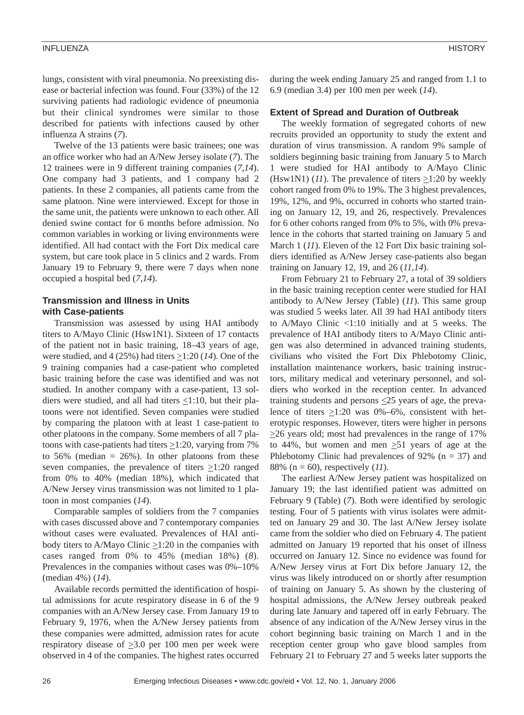#### INFLUENZA HISTORY

lungs, consistent with viral pneumonia. No preexisting disease or bacterial infection was found. Four (33%) of the 12 surviving patients had radiologic evidence of pneumonia but their clinical syndromes were similar to those described for patients with infections caused by other influenza A strains (*7*).

Twelve of the 13 patients were basic trainees; one was an office worker who had an A/New Jersey isolate (*7*). The 12 trainees were in 9 different training companies (*7*,*14*). One company had 3 patients, and 1 company had 2 patients. In these 2 companies, all patients came from the same platoon. Nine were interviewed. Except for those in the same unit, the patients were unknown to each other. All denied swine contact for 6 months before admission. No common variables in working or living environments were identified. All had contact with the Fort Dix medical care system, but care took place in 5 clinics and 2 wards. From January 19 to February 9, there were 7 days when none occupied a hospital bed (*7,14*).

# **Transmission and Illness in Units with Case-patients**

Transmission was assessed by using HAI antibody titers to A/Mayo Clinic (Hsw1N1). Sixteen of 17 contacts of the patient not in basic training, 18–43 years of age, were studied, and 4 (25%) had titers  $\geq$ 1:20 (14). One of the 9 training companies had a case-patient who completed basic training before the case was identified and was not studied. In another company with a case-patient, 13 soldiers were studied, and all had titers  $\leq$ 1:10, but their platoons were not identified. Seven companies were studied by comparing the platoon with at least 1 case-patient to other platoons in the company. Some members of all 7 platoons with case-patients had titers  $\geq$ 1:20, varying from 7% to 56% (median  $= 26\%$ ). In other platoons from these seven companies, the prevalence of titers  $\geq 1:20$  ranged from 0% to 40% (median 18%), which indicated that A/New Jersey virus transmission was not limited to 1 platoon in most companies (*14*).

Comparable samples of soldiers from the 7 companies with cases discussed above and 7 contemporary companies without cases were evaluated. Prevalences of HAI antibody titers to A/Mayo Clinic  $\geq$ 1:20 in the companies with cases ranged from 0% to 45% (median 18%) (*8*). Prevalences in the companies without cases was 0%–10% (median 4%) (*14*).

Available records permitted the identification of hospital admissions for acute respiratory disease in 6 of the 9 companies with an A/New Jersey case. From January 19 to February 9, 1976, when the A/New Jersey patients from these companies were admitted, admission rates for acute respiratory disease of  $\geq 3.0$  per 100 men per week were observed in 4 of the companies. The highest rates occurred during the week ending January 25 and ranged from 1.1 to 6.9 (median 3.4) per 100 men per week (*14*).

### **Extent of Spread and Duration of Outbreak**

The weekly formation of segregated cohorts of new recruits provided an opportunity to study the extent and duration of virus transmission. A random 9% sample of soldiers beginning basic training from January 5 to March 1 were studied for HAI antibody to A/Mayo Clinic (Hsw1N1) (*11*). The prevalence of titers  $\geq$ 1:20 by weekly cohort ranged from 0% to 19%. The 3 highest prevalences, 19%, 12%, and 9%, occurred in cohorts who started training on January 12, 19, and 26, respectively. Prevalences for 6 other cohorts ranged from 0% to 5%, with 0% prevalence in the cohorts that started training on January 5 and March 1 (*11*). Eleven of the 12 Fort Dix basic training soldiers identified as A/New Jersey case-patients also began training on January 12, 19, and 26 (*11,14*).

From February 21 to February 27, a total of 39 soldiers in the basic training reception center were studied for HAI antibody to A/New Jersey (Table) (*11*). This same group was studied 5 weeks later. All 39 had HAI antibody titers to A/Mayo Clinic <1:10 initially and at 5 weeks. The prevalence of HAI antibody titers to A/Mayo Clinic antigen was also determined in advanced training students, civilians who visited the Fort Dix Phlebotomy Clinic, installation maintenance workers, basic training instructors, military medical and veterinary personnel, and soldiers who worked in the reception center. In advanced training students and persons  $\leq$ 25 years of age, the prevalence of titers  $\geq$ 1:20 was 0%–6%, consistent with heterotypic responses. However, titers were higher in persons  $\geq$ 26 years old; most had prevalences in the range of 17% to 44%, but women and men  $\geq 51$  years of age at the Phlebotomy Clinic had prevalences of 92% ( $n = 37$ ) and 88% (n = 60), respectively (*11*).

The earliest A/New Jersey patient was hospitalized on January 19; the last identified patient was admitted on February 9 (Table) (*7*). Both were identified by serologic testing. Four of 5 patients with virus isolates were admitted on January 29 and 30. The last A/New Jersey isolate came from the soldier who died on February 4. The patient admitted on January 19 reported that his onset of illness occurred on January 12. Since no evidence was found for A/New Jersey virus at Fort Dix before January 12, the virus was likely introduced on or shortly after resumption of training on January 5. As shown by the clustering of hospital admissions, the A/New Jersey outbreak peaked during late January and tapered off in early February. The absence of any indication of the A/New Jersey virus in the cohort beginning basic training on March 1 and in the reception center group who gave blood samples from February 21 to February 27 and 5 weeks later supports the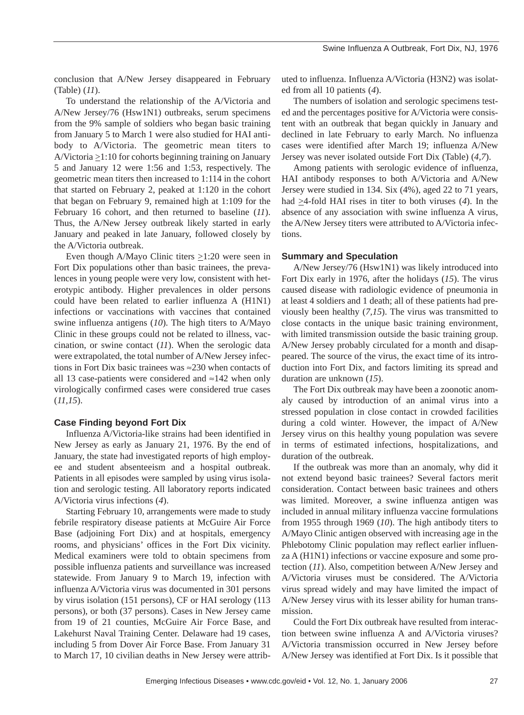conclusion that A/New Jersey disappeared in February (Table) (*11*).

To understand the relationship of the A/Victoria and A/New Jersey/76 (Hsw1N1) outbreaks, serum specimens from the 9% sample of soldiers who began basic training from January 5 to March 1 were also studied for HAI antibody to A/Victoria. The geometric mean titers to A/Victoria  $\geq$ 1:10 for cohorts beginning training on January 5 and January 12 were 1:56 and 1:53, respectively. The geometric mean titers then increased to 1:114 in the cohort that started on February 2, peaked at 1:120 in the cohort that began on February 9, remained high at 1:109 for the February 16 cohort, and then returned to baseline (*11*). Thus, the A/New Jersey outbreak likely started in early January and peaked in late January, followed closely by the A/Victoria outbreak.

Even though A/Mayo Clinic titers  $\geq 1:20$  were seen in Fort Dix populations other than basic trainees, the prevalences in young people were very low, consistent with heterotypic antibody. Higher prevalences in older persons could have been related to earlier influenza A (H1N1) infections or vaccinations with vaccines that contained swine influenza antigens (*10*). The high titers to A/Mayo Clinic in these groups could not be related to illness, vaccination, or swine contact (*11*). When the serologic data were extrapolated, the total number of A/New Jersey infections in Fort Dix basic trainees was ≈230 when contacts of all 13 case-patients were considered and ≈142 when only virologically confirmed cases were considered true cases (*11,15*).

#### **Case Finding beyond Fort Dix**

Influenza A/Victoria-like strains had been identified in New Jersey as early as January 21, 1976. By the end of January, the state had investigated reports of high employee and student absenteeism and a hospital outbreak. Patients in all episodes were sampled by using virus isolation and serologic testing. All laboratory reports indicated A/Victoria virus infections (*4*).

Starting February 10, arrangements were made to study febrile respiratory disease patients at McGuire Air Force Base (adjoining Fort Dix) and at hospitals, emergency rooms, and physicians' offices in the Fort Dix vicinity. Medical examiners were told to obtain specimens from possible influenza patients and surveillance was increased statewide. From January 9 to March 19, infection with influenza A/Victoria virus was documented in 301 persons by virus isolation (151 persons), CF or HAI serology (113 persons), or both (37 persons). Cases in New Jersey came from 19 of 21 counties, McGuire Air Force Base, and Lakehurst Naval Training Center. Delaware had 19 cases, including 5 from Dover Air Force Base. From January 31 to March 17, 10 civilian deaths in New Jersey were attributed to influenza. Influenza A/Victoria (H3N2) was isolated from all 10 patients (*4*).

The numbers of isolation and serologic specimens tested and the percentages positive for A/Victoria were consistent with an outbreak that began quickly in January and declined in late February to early March. No influenza cases were identified after March 19; influenza A/New Jersey was never isolated outside Fort Dix (Table) (*4,7*).

Among patients with serologic evidence of influenza, HAI antibody responses to both A/Victoria and A/New Jersey were studied in 134. Six (4%), aged 22 to 71 years, had  $\geq$ 4-fold HAI rises in titer to both viruses (4). In the absence of any association with swine influenza A virus, the A/New Jersey titers were attributed to A/Victoria infections.

#### **Summary and Speculation**

A/New Jersey/76 (Hsw1N1) was likely introduced into Fort Dix early in 1976, after the holidays (*15*). The virus caused disease with radiologic evidence of pneumonia in at least 4 soldiers and 1 death; all of these patients had previously been healthy (*7,15*). The virus was transmitted to close contacts in the unique basic training environment, with limited transmission outside the basic training group. A/New Jersey probably circulated for a month and disappeared. The source of the virus, the exact time of its introduction into Fort Dix, and factors limiting its spread and duration are unknown (*15*).

The Fort Dix outbreak may have been a zoonotic anomaly caused by introduction of an animal virus into a stressed population in close contact in crowded facilities during a cold winter. However, the impact of A/New Jersey virus on this healthy young population was severe in terms of estimated infections, hospitalizations, and duration of the outbreak.

If the outbreak was more than an anomaly, why did it not extend beyond basic trainees? Several factors merit consideration. Contact between basic trainees and others was limited. Moreover, a swine influenza antigen was included in annual military influenza vaccine formulations from 1955 through 1969 (*10*). The high antibody titers to A/Mayo Clinic antigen observed with increasing age in the Phlebotomy Clinic population may reflect earlier influenza A (H1N1) infections or vaccine exposure and some protection (*11*). Also, competition between A/New Jersey and A/Victoria viruses must be considered. The A/Victoria virus spread widely and may have limited the impact of A/New Jersey virus with its lesser ability for human transmission.

Could the Fort Dix outbreak have resulted from interaction between swine influenza A and A/Victoria viruses? A/Victoria transmission occurred in New Jersey before A/New Jersey was identified at Fort Dix. Is it possible that